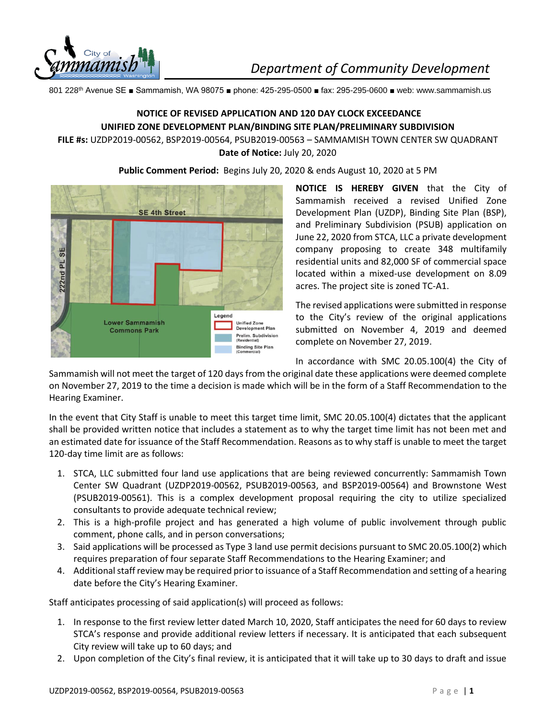

801 228th Avenue SE ■ Sammamish, WA 98075 ■ phone: 425-295-0500 ■ fax: 295-295-0600 ■ web: www.sammamish.us

## **NOTICE OF REVISED APPLICATION AND 120 DAY CLOCK EXCEEDANCE UNIFIED ZONE DEVELOPMENT PLAN/BINDING SITE PLAN/PRELIMINARY SUBDIVISION**

## **FILE #s:** UZDP2019-00562, BSP2019-00564, PSUB2019-00563 – SAMMAMISH TOWN CENTER SW QUADRANT **Date of Notice:** July 20, 2020





**NOTICE IS HEREBY GIVEN** that the City of Sammamish received a revised Unified Zone Development Plan (UZDP), Binding Site Plan (BSP), and Preliminary Subdivision (PSUB) application on June 22, 2020 from STCA, LLC a private development company proposing to create 348 multifamily residential units and 82,000 SF of commercial space located within a mixed-use development on 8.09 acres. The project site is zoned TC-A1.

The revised applications were submitted in response to the City's review of the original applications submitted on November 4, 2019 and deemed complete on November 27, 2019.

In accordance with SMC 20.05.100(4) the City of

Sammamish will not meet the target of 120 days from the original date these applications were deemed complete on November 27, 2019 to the time a decision is made which will be in the form of a Staff Recommendation to the Hearing Examiner.

In the event that City Staff is unable to meet this target time limit, SMC 20.05.100(4) dictates that the applicant shall be provided written notice that includes a statement as to why the target time limit has not been met and an estimated date for issuance of the Staff Recommendation. Reasons as to why staff is unable to meet the target 120-day time limit are as follows:

- 1. STCA, LLC submitted four land use applications that are being reviewed concurrently: Sammamish Town Center SW Quadrant (UZDP2019-00562, PSUB2019-00563, and BSP2019-00564) and Brownstone West (PSUB2019-00561). This is a complex development proposal requiring the city to utilize specialized consultants to provide adequate technical review;
- 2. This is a high-profile project and has generated a high volume of public involvement through public comment, phone calls, and in person conversations;
- 3. Said applications will be processed as Type 3 land use permit decisions pursuant to SMC 20.05.100(2) which requires preparation of four separate Staff Recommendations to the Hearing Examiner; and
- 4. Additional staff review may be required prior to issuance of a Staff Recommendation and setting of a hearing date before the City's Hearing Examiner.

Staff anticipates processing of said application(s) will proceed as follows:

- 1. In response to the first review letter dated March 10, 2020, Staff anticipates the need for 60 days to review STCA's response and provide additional review letters if necessary. It is anticipated that each subsequent City review will take up to 60 days; and
- 2. Upon completion of the City's final review, it is anticipated that it will take up to 30 days to draft and issue